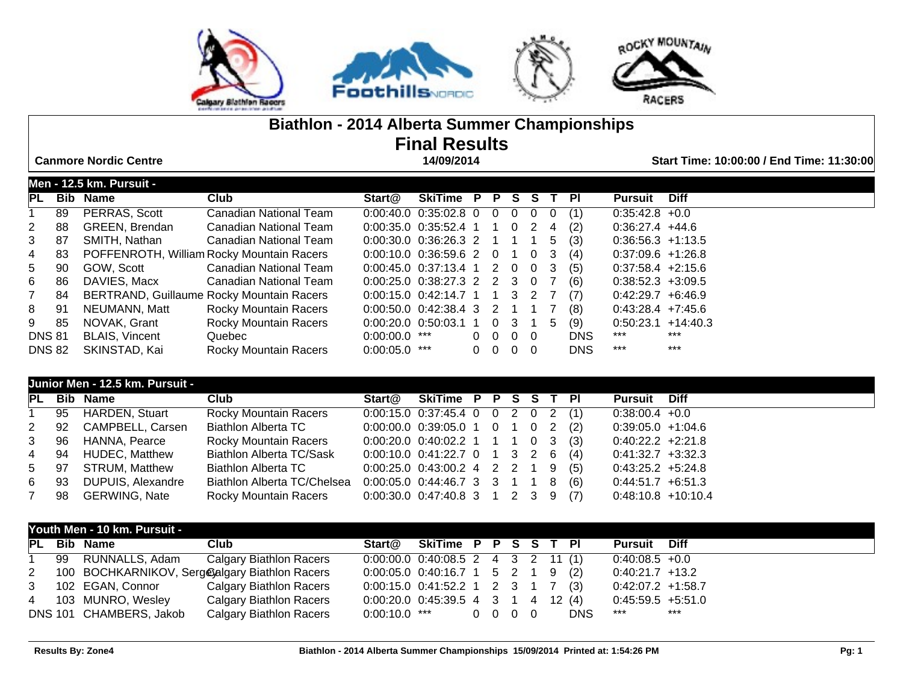

## **Biathlon - 2014 Alberta Summer Championships Final Results**

 **Canmore Nordic Centre 14/09/2014 Start Time: 10:00:00 / End Time: 11:30:00**

|                |     | Men - 12.5 km. Pursuit - |                                           |                                       |                      |  |                          |  |            |                       |             |
|----------------|-----|--------------------------|-------------------------------------------|---------------------------------------|----------------------|--|--------------------------|--|------------|-----------------------|-------------|
| <b>PL</b>      | Bib | <b>Name</b>              | Club                                      | Start@                                | SkiTime P P S S T PI |  |                          |  |            | <b>Pursuit</b>        | <b>Diff</b> |
|                | 89  | PERRAS, Scott            | <b>Canadian National Team</b>             | $0.00:40.0$ $0.35:02.8$ 0 0 0 0 0 0   |                      |  |                          |  | (1)        | $0:35:42.8 +0.0$      |             |
| $2^{\circ}$    | 88  | <b>GREEN, Brendan</b>    | Canadian National Team                    | $0:00:35.0$ $0:35:52.4$ 1 1 0 2 4     |                      |  |                          |  | (2)        | $0.36.27.4$ +44.6     |             |
| $3^{\circ}$    | -87 | SMITH, Nathan            | Canadian National Team                    | $0:00:30.0$ $0:36:26.3$ 2 1 1 1 5 (3) |                      |  |                          |  |            | $0:36:56.3 +1:13.5$   |             |
| 4              | 83  |                          | POFFENROTH, William Rocky Mountain Racers | $0.00:10.0$ $0.36:59.6$ 2 0 1 0 3     |                      |  |                          |  | (4)        | $0.37:09.6$ +1:26.8   |             |
| 5              | 90  | GOW. Scott               | Canadian National Team                    | $0.00:45.0$ 0:37:13.4 1 2 0 0 3       |                      |  |                          |  | (5)        | $0:37:58.4$ +2:15.6   |             |
| 6              | 86  | DAVIES, Macx             | <b>Canadian National Team</b>             | $0.00:25.0$ $0.38:27.3$ 2 2 3 0 7     |                      |  |                          |  | (6)        | $0:38:52.3 +3:09.5$   |             |
| 7 <sup>7</sup> | 84  |                          | BERTRAND, Guillaume Rocky Mountain Racers | $0:00:15.0$ $0:42:14.7$ 1 1 3 2 7     |                      |  |                          |  | (7)        | $0.42:29.7 + 6.46.9$  |             |
| 8 91           |     | NEUMANN, Matt            | <b>Rocky Mountain Racers</b>              | $0:00:50.0$ $0:42:38.4$ 3 2 1 1 7     |                      |  |                          |  | (8)        | $0.43.28.4$ +7:45.6   |             |
| 9              | 85  | NOVAK, Grant             | <b>Rocky Mountain Racers</b>              | $0.00:20.0$ $0.50:03.1$ 1 0 3 1 5     |                      |  |                          |  | (9)        | $0.50.23.1 + 14.40.3$ |             |
| <b>DNS 81</b>  |     | <b>BLAIS, Vincent</b>    | Quebec                                    | $0:00:00.0$ ***                       |                      |  | $0\quad 0\quad 0\quad 0$ |  | <b>DNS</b> | ***                   | $***$       |
| <b>DNS 82</b>  |     | SKINSTAD, Kai            | Rocky Mountain Racers                     | $0:00:05.0$ ***                       |                      |  | $0\quad 0\quad 0\quad 0$ |  | <b>DNS</b> | $***$                 | $***$       |

|      | Junior Men - 12.5 km. Pursuit - |                                 |                                       |  |  |  |                      |  |
|------|---------------------------------|---------------------------------|---------------------------------------|--|--|--|----------------------|--|
|      | PL Bib Name                     | Club                            | Start@ SkiTime P P S S T PI           |  |  |  | <b>Pursuit</b> Diff  |  |
|      | 1 95 HARDEN, Stuart             | <b>Rocky Mountain Racers</b>    | $0:00:15.0$ $0:37:45.4$ 0 0 2 0 2 (1) |  |  |  | $0:38:00.4 +0.0$     |  |
|      | 2 92 CAMPBELL, Carsen           | Biathlon Alberta TC             | $0:00:00.0$ $0:39:05.0$ 1 0 1 0 2 (2) |  |  |  | $0.39.05.0 +1.04.6$  |  |
|      | 3 96 HANNA, Pearce              | Rocky Mountain Racers           | $0:00:20.0$ $0:40:02.2$ 1 1 1 0 3 (3) |  |  |  | $0.40.22.2 +2.21.8$  |  |
|      | 4 94 HUDEC, Matthew             | <b>Biathlon Alberta TC/Sask</b> | $0:00:10.0$ $0:41:22.7$ 0 1 3 2 6 (4) |  |  |  | $0.41:32.7 +3:32.3$  |  |
| 5 97 | STRUM, Matthew                  | Biathlon Alberta TC             | $0:00:25.0$ $0:43:00.2$ 4 2 2 1 9 (5) |  |  |  | $0.43:25.2 +5:24.8$  |  |
| 6 93 | DUPUIS, Alexandre               | Biathlon Alberta TC/Chelsea     | $0:00:05.0$ $0:44:46.7$ 3 3 1 1 8 (6) |  |  |  | $0.44.51.7 + 6.51.3$ |  |
|      | 7 98 GERWING, Nate              | Rocky Mountain Racers           | $0:00:30.0$ $0:47:40.8$ 3 1 2 3 9 (7) |  |  |  | $0.48:10.8$ +10:10.4 |  |

|  | Youth Men - 10 km. Pursuit - |                                                  |                                          |  |  |  |            |                      |     |
|--|------------------------------|--------------------------------------------------|------------------------------------------|--|--|--|------------|----------------------|-----|
|  | PL Bib Name                  | Club                                             | Start@ SkiTime P P S S T PI              |  |  |  |            | <b>Pursuit Diff</b>  |     |
|  | 1 99 RUNNALLS, Adam          | <b>Calgary Biathlon Racers</b>                   | $0:00:00.0$ $0:40:08.5$ 2 4 3 2 11 (1)   |  |  |  |            | $0.40.08.5 + 0.0$    |     |
|  |                              | 2 100 BOCHKARNIKOV, Serge algary Biathlon Racers | $0:00:05.0$ $0:40:16.7$ 1 5 2 1 9 (2)    |  |  |  |            | $0.40:21.7$ +13.2    |     |
|  | 3 102 EGAN, Connor           | Calgary Biathlon Racers                          | $0:00:15.0$ $0:41:52.2$ 1 2 3 1 7 (3)    |  |  |  |            | $0:42:07.2$ +1:58.7  |     |
|  | 4 103 MUNRO, Wesley          | <b>Calgary Biathlon Racers</b>                   | $0:00:20.0$ $0:45:39.5$ 4 3 1 4 12 (4)   |  |  |  |            | $0:45:59.5 + 5:51.0$ |     |
|  | DNS 101 CHAMBERS, Jakob      | Calgary Biathlon Racers                          | $0.00:10.0$ *** $0\quad 0\quad 0\quad 0$ |  |  |  | <b>DNS</b> | ***                  | *** |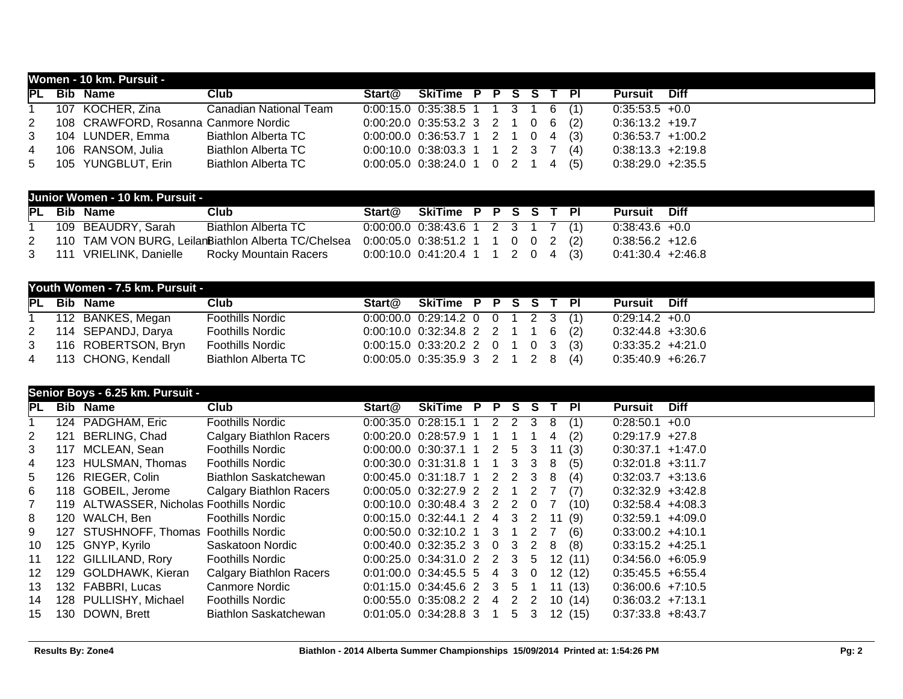|  | Women - 10 km. Pursuit -               |                               |                                       |  |  |  |                     |  |
|--|----------------------------------------|-------------------------------|---------------------------------------|--|--|--|---------------------|--|
|  | PL Bib Name                            | Club                          | Start@ SkiTime P P S S T PI           |  |  |  | <b>Pursuit</b> Diff |  |
|  | 1 107 KOCHER, Zina                     | <b>Canadian National Team</b> | $0:00:15.0$ $0:35:38.5$ 1 1 3 1 6 (1) |  |  |  | $0:35:53.5 +0.0$    |  |
|  | 2 108 CRAWFORD, Rosanna Canmore Nordic |                               | $0:00:20.0$ $0:35:53.2$ 3 2 1 0 6 (2) |  |  |  | $0:36:13.2$ +19.7   |  |
|  | 3 104 LUNDER, Emma                     | <b>Biathlon Alberta TC</b>    | $0:00:00.0$ $0:36:53.7$ 1 2 1 0 4 (3) |  |  |  | $0:36:53.7$ +1:00.2 |  |
|  | 4 106 RANSOM, Julia                    | Biathlon Alberta TC           | $0:00:10.0$ $0:38:03.3$ 1 1 2 3 7 (4) |  |  |  | $0:38:13.3 +2:19.8$ |  |
|  | 5 105 YUNGBLUT, Erin                   | <b>Biathlon Alberta TC</b>    | $0:00:05.0$ $0:38:24.0$ 1 0 2 1 4 (5) |  |  |  | $0.38:29.0 +2:35.5$ |  |

|             | Junior Women - 10 km. Pursuit - |                                                     |                                       |                                       |  |  |  |                     |  |
|-------------|---------------------------------|-----------------------------------------------------|---------------------------------------|---------------------------------------|--|--|--|---------------------|--|
|             | <b>PL</b> Bib Name              | Club                                                | Start@                                | SkiTime P P S S T PI                  |  |  |  | <b>Pursuit Diff</b> |  |
|             | 109 BEAUDRY, Sarah              | Biathlon Alberta TC                                 |                                       | $0:00:00.0$ $0:38:43.6$ 1 2 3 1 7 (1) |  |  |  | $0.38.43.6 + 0.0$   |  |
| $2^{\circ}$ |                                 | 110 TAM VON BURG, LeilanBiathlon Alberta TC/Chelsea |                                       | $0:00:05.0$ $0:38:51.2$ 1 1 0 0 2 (2) |  |  |  | $0:38:56.2$ +12.6   |  |
|             | 3 111 VRIELINK, Danielle        | Rocky Mountain Racers                               | $0:00:10.0$ $0:41:20.4$ 1 1 2 0 4 (3) |                                       |  |  |  | $0:41:30.4$ +2:46.8 |  |

|             | Youth Women - 7.5 km. Pursuit - |                         |                                       |  |  |  |                     |  |
|-------------|---------------------------------|-------------------------|---------------------------------------|--|--|--|---------------------|--|
|             | <b>PL</b> Bib Name              | Club                    | Start@ SkiTime P P S S T PI           |  |  |  | <b>Pursuit</b> Diff |  |
|             | 112 BANKES, Megan               | <b>Foothills Nordic</b> | $0:00:00.0$ $0:29:14.2$ 0 0 1 2 3 (1) |  |  |  | $0.29:14.2$ +0.0    |  |
| $2^{\circ}$ | 114 SEPANDJ, Darya              | <b>Foothills Nordic</b> | $0:00:10.0$ $0:32:34.8$ 2 2 1 1 6 (2) |  |  |  | $0:32:44.8$ +3:30.6 |  |
| $3^{\circ}$ | 116 ROBERTSON, Bryn             | <b>Foothills Nordic</b> | $0:00:15.0$ $0:33:20.2$ 2 0 1 0 3 (3) |  |  |  | $0:33:35.2 +4:21.0$ |  |
|             | 4 113 CHONG, Kendall            | Biathlon Alberta TC     | $0:00:05.0$ $0:35:35.9$ 3 2 1 2 8 (4) |  |  |  | $0:35:40.9$ +6:26.7 |  |

|                       |     | Senior Boys - 6.25 km. Pursuit -         |                                |                             |                                         |                |   |     |      |         |                      |             |
|-----------------------|-----|------------------------------------------|--------------------------------|-----------------------------|-----------------------------------------|----------------|---|-----|------|---------|----------------------|-------------|
| IPL .                 |     | <b>Bib Name</b>                          | Club                           | Start@                      | SkiTime P P S S                         |                |   |     | T PI |         | <b>Pursuit</b>       | <b>Diff</b> |
|                       |     | 124 PADGHAM, Eric                        | <b>Foothills Nordic</b>        |                             | $0:00:35.0$ $0:28:15.1$ 1 2 2 3 8       |                |   |     |      | (1)     | $0:28:50.1 +0.0$     |             |
| $\mathbf{2}^{\prime}$ | 121 | BERLING, Chad                            | <b>Calgary Biathlon Racers</b> | $0:00:20.0$ $0:28:57.9$ 1 1 |                                         |                |   |     | 4    | (2)     | $0.29:17.9$ +27.8    |             |
| 3                     |     | 117 MCLEAN, Sean                         | <b>Foothills Nordic</b>        |                             | 0:00:00.0 0:30:37.1 1 2 5 3 11          |                |   |     |      | (3)     | $0.30:37.1$ +1.47.0  |             |
| 4                     |     | 123 HULSMAN, Thomas                      | <b>Foothills Nordic</b>        |                             | $0:00:30.0$ $0:31:31.8$ 1 1 3 3 8       |                |   |     |      | (5)     | $0:32:01.8$ +3:11.7  |             |
| 5                     |     | 126 RIEGER, Colin                        | <b>Biathlon Saskatchewan</b>   |                             | $0:00:45.0$ $0:31:18.7$ 1 2 2 3 8       |                |   |     |      | (4)     | $0.32:03.7 +3:13.6$  |             |
| 6                     |     | 118 GOBEIL, Jerome                       | <b>Calgary Biathlon Racers</b> |                             | $0:00:05.0$ $0:32:27.9$ 2 2 1 2 7       |                |   |     |      | (7)     | $0:32:32.9$ +3:42.8  |             |
| $\overline{7}$        |     | 119 ALTWASSER, Nicholas Foothills Nordic |                                |                             | 0:00:10.0 0:30:48.4 3 2 2 0 7           |                |   |     |      | (10)    | $0.32.58.4$ +4.08.3  |             |
| 8                     |     | 120 WALCH, Ben                           | Foothills Nordic               |                             | $0.00:15.0$ $0.32:44.1$ 2 4 3 2 11      |                |   |     |      | (9)     | $0.32:59.1$ +4:09.0  |             |
| 9                     |     | 127 STUSHNOFF, Thomas Foothills Nordic   |                                |                             | $0:00:50.0$ $0:32:10.2$ 1 3 1 2 7       |                |   |     |      | (6)     | $0:33:00.2 +4:10.1$  |             |
| 10                    |     | 125 GNYP, Kyrilo                         | Saskatoon Nordic               |                             | $0:00:40.0$ $0:32:35.2$ 3 0 3 2 8       |                |   |     |      | (8)     | $0:33:15.2 +4:25.1$  |             |
| 11                    |     | 122 GILLILAND, Rory                      | <b>Foothills Nordic</b>        |                             | $0:00:25.0$ $0:34:31.0$ 2 2 3 5 12 (11) |                |   |     |      |         | $0.34.56.0 + 6.05.9$ |             |
| 12 <sup>1</sup>       |     | 129 GOLDHAWK, Kieran                     | <b>Calgary Biathlon Racers</b> |                             | $0:01:00.0$ $0:34:45.5$ 5 4 3 0 12 (12) |                |   |     |      |         | $0:35:45.5 + 6:55.4$ |             |
| 13                    |     | 132 FABBRI, Lucas                        | Canmore Nordic                 |                             | $0.01:15.0$ $0.34:45.6$ 2 3 5 1         |                |   |     |      | 11 (13) | $0:36:00.6 +7:10.5$  |             |
| 14                    |     | 128 PULLISHY, Michael                    | Foothills Nordic               |                             | $0:00:55.0$ $0:35:08.2$ 2 4             |                |   | 2 2 |      | 10 (14) | $0.36:03.2 +7:13.1$  |             |
| 15                    |     | 130 DOWN, Brett                          | <b>Biathlon Saskatchewan</b>   | $0.01:05.0$ $0.34:28.8$ 3   |                                         | $\overline{1}$ | 5 | 3   |      | 12 (15) | $0:37:33.8$ +8:43.7  |             |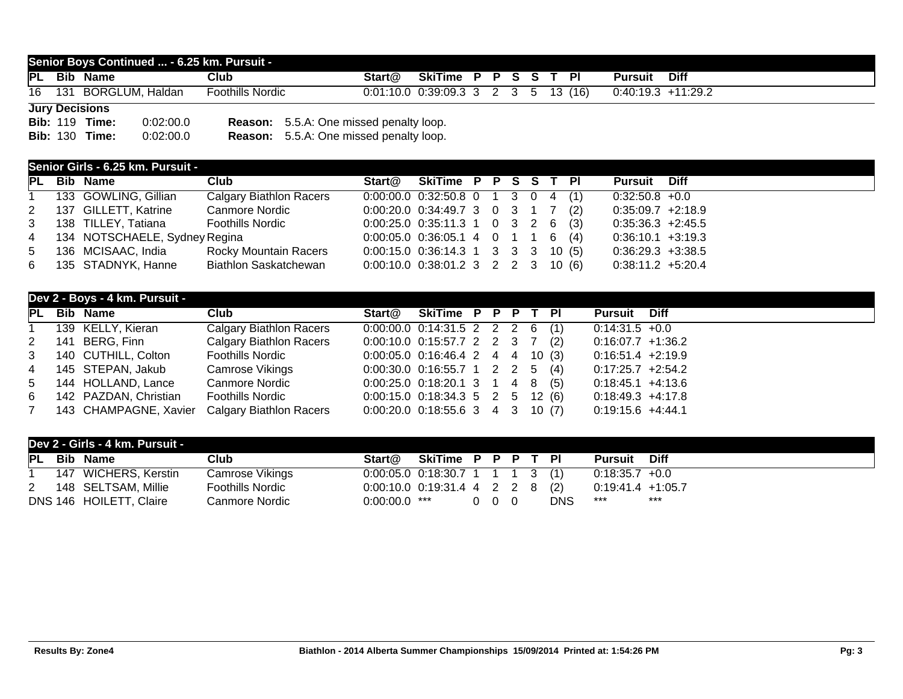## **Senior Boys Continued ... - 6.25 km. Pursuit - PL Bib Name Club Start@ SkiTime P P S S T Pl Pursuit Diff** 16 131 BORGLUM, Haldan Foothills Nordic 0:01:10.0 0:39:09.3 3 2 3 5 13 (16) 0:40:19.3 +11:29.2 **Jury Decisions**

|  | <b>Bib: 119 Time:</b> | 0:02:00.0 | <b>Reason:</b> 5.5.A: One missed penalty loop. |
|--|-----------------------|-----------|------------------------------------------------|
|  | <b>Bib: 130 Time:</b> | 0:02:00.0 | <b>Reason:</b> 5.5.A: One missed penalty loop. |

## **Senior Girls - 6.25 km. Pursuit -**

| PL | <b>Bib Name</b>                 | Club                           |                                        | Start@ SkiTime P P S S T PI |  |  |  | <b>Pursuit</b> Diff  |  |
|----|---------------------------------|--------------------------------|----------------------------------------|-----------------------------|--|--|--|----------------------|--|
|    | 1 133 GOWLING, Gillian          | <b>Calgary Biathlon Racers</b> | $0:00:00.0$ $0:32:50.8$ 0 1 3 0 4 (1)  |                             |  |  |  | $0:32:50.8 +0.0$     |  |
|    | 2 137 GILLETT, Katrine          | <b>Canmore Nordic</b>          | $0:00:20.0$ $0:34:49.7$ 3 0 3 1 7 (2)  |                             |  |  |  | $0.35.09.7 +2.18.9$  |  |
|    | 3 138 TILLEY, Tatiana           | Foothills Nordic               | $0:00:25.0$ $0:35:11.3$ 1 0 3 2 6 (3)  |                             |  |  |  | $0.35.36.3 +2.45.5$  |  |
|    | 4 134 NOTSCHAELE, Sydney Regina |                                | $0:00:05.0$ $0:36:05.1$ 4 0 1 1 6 (4)  |                             |  |  |  | $0:36:10.1 + 3:19.3$ |  |
|    | 5 136 MCISAAC, India            | Rocky Mountain Racers          | $0:00:15.0$ $0:36:14.3$ 1 3 3 3 10 (5) |                             |  |  |  | $0.36:29.3 +3:38.5$  |  |
|    | 6 135 STADNYK, Hanne            | <b>Biathlon Saskatchewan</b>   | $0:00:10.0$ $0:38:01.2$ 3 2 2 3 10 (6) |                             |  |  |  | $0:38:11.2 +5:20.4$  |  |

|  | Dev 2 - Boys - 4 km. Pursuit - |                                                 |                                      |  |  |                      |  |
|--|--------------------------------|-------------------------------------------------|--------------------------------------|--|--|----------------------|--|
|  | PL Bib Name                    | Club                                            | Start@ SkiTime P P P T PI            |  |  | <b>Pursuit</b> Diff  |  |
|  | 1 139 KELLY, Kieran            | <b>Calgary Biathlon Racers</b>                  | $0:00:00.0$ $0:14:31.5$ 2 2 2 6 (1)  |  |  | $0.14.31.5 + 0.0$    |  |
|  | 2 141 BERG, Finn               | <b>Calgary Biathlon Racers</b>                  | $0:00:10.0$ $0:15:57.7$ 2 2 3 7 (2)  |  |  | $0.16.07.7 +1.36.2$  |  |
|  | 3 140 CUTHILL, Colton          | <b>Foothills Nordic</b>                         | $0:00:05.0$ $0:16:46.4$ 2 4 4 10 (3) |  |  | $0.16.51.4$ +2.19.9  |  |
|  | 4 145 STEPAN, Jakub            | Camrose Vikings                                 | $0:00:30.0$ $0:16:55.7$ 1 2 2 5 (4)  |  |  | $0.17.25.7 +2.54.2$  |  |
|  | 5 144 HOLLAND, Lance           | Canmore Nordic                                  | $0.00:25.0$ $0.18:20.1$ 3 1 4 8 (5)  |  |  | $0.18.45.1 + 4.13.6$ |  |
|  | 6 142 PAZDAN, Christian        | Foothills Nordic                                | $0:00:15.0$ $0:18:34.3$ 5 2 5 12 (6) |  |  | $0.18.49.3 +4.17.8$  |  |
|  |                                | 7 143 CHAMPAGNE, Xavier Calgary Biathlon Racers | $0.00:20.0$ $0.18:55.6$ 3 4 3 10 (7) |  |  | $0.19:15.6 +4.44.1$  |  |

|   | Dev 2 - Girls - 4 km. Pursuit - |                         |                                     |                    |     |  |            |                     |      |
|---|---------------------------------|-------------------------|-------------------------------------|--------------------|-----|--|------------|---------------------|------|
|   | PL Bib Name                     | Club                    | Start@                              | SkiTime P P P T PI |     |  |            | Pursuit             | Diff |
|   | 147 WICHERS, Kerstin            | <b>Camrose Vikings</b>  | $0:00:05.0$ $0:18:30.7$ 1 1 1 3 (1) |                    |     |  |            | $0:18:35.7$ +0.0    |      |
| 2 | 148 SELTSAM, Millie             | <b>Foothills Nordic</b> | $0:00:10.0$ $0:19:31.4$ 4 2 2 8 (2) |                    |     |  |            | $0.19.41.4$ +1.05.7 |      |
|   | DNS 146 HOILETT, Claire         | Canmore Nordic          | $0:00:00.0$ ***                     |                    | 000 |  | <b>DNS</b> | ***                 | ***  |